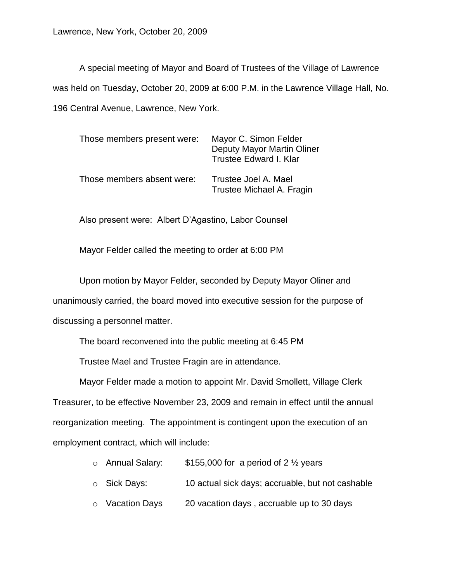A special meeting of Mayor and Board of Trustees of the Village of Lawrence was held on Tuesday, October 20, 2009 at 6:00 P.M. in the Lawrence Village Hall, No. 196 Central Avenue, Lawrence, New York.

| Those members present were: | Mayor C. Simon Felder<br>Deputy Mayor Martin Oliner<br>Trustee Edward I. Klar |
|-----------------------------|-------------------------------------------------------------------------------|
| Those members absent were:  | Trustee Joel A. Mael<br>Trustee Michael A. Fragin                             |

Also present were: Albert D'Agastino, Labor Counsel

Mayor Felder called the meeting to order at 6:00 PM

Upon motion by Mayor Felder, seconded by Deputy Mayor Oliner and unanimously carried, the board moved into executive session for the purpose of discussing a personnel matter.

The board reconvened into the public meeting at 6:45 PM

Trustee Mael and Trustee Fragin are in attendance.

Mayor Felder made a motion to appoint Mr. David Smollett, Village Clerk Treasurer, to be effective November 23, 2009 and remain in effect until the annual reorganization meeting. The appointment is contingent upon the execution of an employment contract, which will include:

- $\circ$  Annual Salary: \$155,000 for a period of 2  $\frac{1}{2}$  years
- o Sick Days: 10 actual sick days; accruable, but not cashable
- o Vacation Days 20 vacation days , accruable up to 30 days